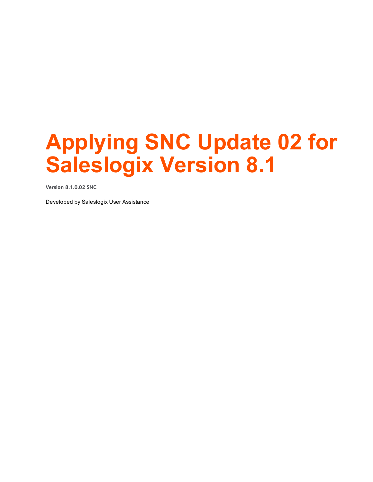# **Applying SNC Update 02 for Saleslogix Version 8.1**

**Version 8.1.0.02 SNC**

Developed by Saleslogix User Assistance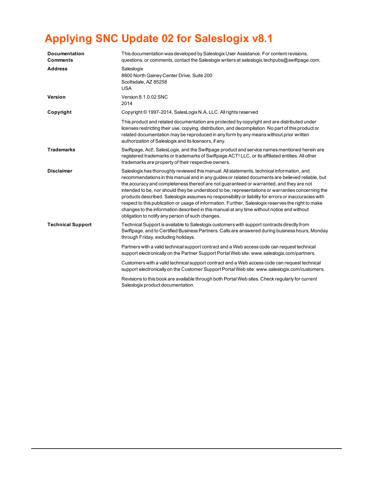## **Applying SNC Update 02 for Saleslogix v8.1**

| This documentation was developed by Saleslogix User Assistance. For content revisions,<br>questions, or comments, contact the Saleslogix writers at saleslogix techpubs@swiftpage.com.                                                                                                                                                                                                                                                                                                                                                                                                                                                                                                                                                                           |
|------------------------------------------------------------------------------------------------------------------------------------------------------------------------------------------------------------------------------------------------------------------------------------------------------------------------------------------------------------------------------------------------------------------------------------------------------------------------------------------------------------------------------------------------------------------------------------------------------------------------------------------------------------------------------------------------------------------------------------------------------------------|
| Saleslogix<br>8800 North Gainey Center Drive, Suite 200<br>Scottsdale, AZ 85258<br><b>USA</b>                                                                                                                                                                                                                                                                                                                                                                                                                                                                                                                                                                                                                                                                    |
| Version 8.1.0.02 SNC<br>2014                                                                                                                                                                                                                                                                                                                                                                                                                                                                                                                                                                                                                                                                                                                                     |
| Copyright © 1997-2014, SalesLogix N.A, LLC. All rights reserved                                                                                                                                                                                                                                                                                                                                                                                                                                                                                                                                                                                                                                                                                                  |
| This product and related documentation are protected by copyright and are distributed under<br>licenses restricting their use, copying, distribution, and decompilation. No part of this product or<br>related documentation may be reproduced in any form by any means without prior written<br>authorization of Saleslogix and its licensors, if any.                                                                                                                                                                                                                                                                                                                                                                                                          |
| Swiftpage, Act!, SalesLogix, and the Swiftpage product and service names mentioned herein are<br>registered trademarks or trademarks of Swiftpage ACT! LLC, or its affiliated entities. All other<br>trademarks are property of their respective owners.                                                                                                                                                                                                                                                                                                                                                                                                                                                                                                         |
| Saleslogix has thoroughly reviewed this manual. All statements, technical information, and<br>recommendations in this manual and in any guides or related documents are believed reliable, but<br>the accuracy and completeness thereof are not guaranteed or warranted, and they are not<br>intended to be, nor should they be understood to be, representations or warranties concerning the<br>products described. Saleslogix assumes no responsibility or liability for errors or inaccuracies with<br>respect to this publication or usage of information. Further, Saleslogix reserves the right to make<br>changes to the information described in this manual at any time without notice and without<br>obligation to notify any person of such changes. |
| Technical Support is available to Saleslogix customers with support contracts directly from<br>Swiftpage, and to Certified Business Partners. Calls are answered during business hours, Monday<br>through Friday, excluding holidays.                                                                                                                                                                                                                                                                                                                                                                                                                                                                                                                            |
| Partners with a valid technical support contract and a Web access code can request technical<br>support electronically on the Partner Support Portal Web site: www.saleslogix.com/partners.                                                                                                                                                                                                                                                                                                                                                                                                                                                                                                                                                                      |
| Customers with a valid technical support contract and a Web access code can request technical<br>support electronically on the Customer Support Portal Web site: www.saleslogix.com/customers.                                                                                                                                                                                                                                                                                                                                                                                                                                                                                                                                                                   |
| Revisions to this book are available through both Portal Web sites. Check regularly for current<br>Saleslogix product documentation.                                                                                                                                                                                                                                                                                                                                                                                                                                                                                                                                                                                                                             |
|                                                                                                                                                                                                                                                                                                                                                                                                                                                                                                                                                                                                                                                                                                                                                                  |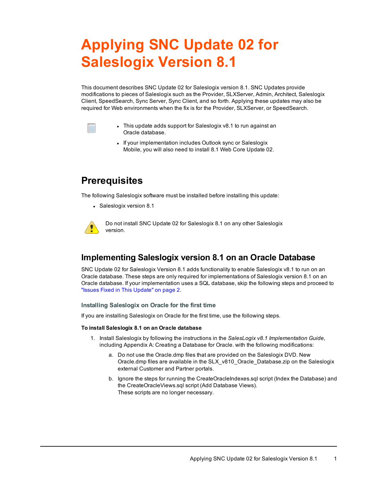## **Applying SNC Update 02 for Saleslogix Version 8.1**

This document describes SNC Update 02 for Saleslogix version 8.1. SNC Updates provide modifications to pieces of Saleslogix such as the Provider, SLXServer, Admin, Architect, Saleslogix Client, SpeedSearch, Sync Server, Sync Client, and so forth. Applying these updates may also be required for Web environments when the fix is for the Provider, SLXServer, or SpeedSearch.



- This update adds support for Saleslogix v8.1 to run against an Oracle database.
- If your implementation includes Outlook sync or Saleslogix Mobile, you will also need to install 8.1 Web Core Update 02.

## **Prerequisites**

The following Saleslogix software must be installed before installing this update:

• Saleslogix version 8.1



Do not install SNC Update 02 for Saleslogix 8.1 on any other Saleslogix version.

## **Implementing Saleslogix version 8.1 on an Oracle Database**

SNC Update 02 for Saleslogix Version 8.1 adds functionality to enable Saleslogix v8.1 to run on an Oracle database. These steps are only required for implementations of Saleslogix version 8.1 on an Oracle database. If your implementation uses a SQL database, skip the following steps and proceed to "Issues Fixed in This [Update"](#page-3-0) on page 2.

#### **Installing Saleslogix on Oracle for the first time**

If you are installing Saleslogix on Oracle for the first time, use the following steps.

#### **To install Saleslogix 8.1 on an Oracle database**

- 1. Install Saleslogix by following the instructions in the *SalesLogix v8.1 Implementation Guide*, including Appendix A: Creating a Database for Oracle. with the following modifications:
	- a. Do not use the Oracle.dmp files that are provided on the Saleslogix DVD. New Oracle.dmp files are available in the SLX\_v810\_Oracle\_Database.zip on the Saleslogix external Customer and Partner portals.
	- b. Ignore the steps for running the CreateOracleIndexes.sql script (Index the Database) and the CreateOracleViews.sql script (Add Database Views). These scripts are no longer necessary.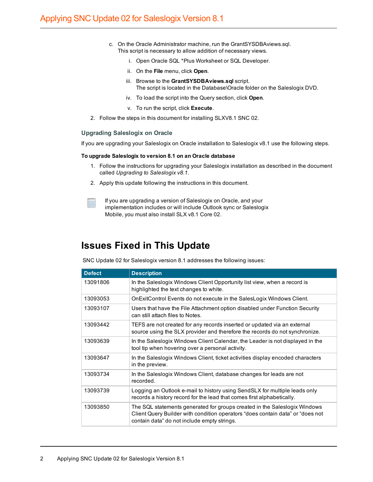- c. On the Oracle Administrator machine, run the GrantSYSDBAviews.sql. This script is necessary to allow addition of necessary views.
	- i. Open Oracle SQL \*Plus Worksheet or SQL Developer.
	- ii. On the **File** menu, click **Open**.
	- iii. Browse to the **GrantSYSDBAviews.sql** script. The script is located in the Database\Oracle folder on the Saleslogix DVD.
	- iv. To load the script into the Query section, click **Open**.
	- v. To run the script, click **Execute**.
- 2. Follow the steps in this document for installing SLXV8.1 SNC 02.

#### **Upgrading Saleslogix on Oracle**

If you are upgrading your Saleslogix on Oracle installation to Saleslogix v8.1 use the following steps.

#### **To upgrade Saleslogix to version 8.1 on an Oracle database**

- 1. Follow the instructions for upgrading your Saleslogix installation as described in the document called *Upgrading to Saleslogix v8.1*.
- 2. Apply this update following the instructions in this document.
- If you are upgrading a version of Saleslogix on Oracle, and your implementation includes or will include Outlook sync or Saleslogix Mobile, you must also install SLX v8.1 Core 02.

## <span id="page-3-0"></span>**Issues Fixed in This Update**

SNC Update 02 for Saleslogix version 8.1 addresses the following issues:

| <b>Defect</b> | <b>Description</b>                                                                                                                                                                                         |
|---------------|------------------------------------------------------------------------------------------------------------------------------------------------------------------------------------------------------------|
| 13091806      | In the Saleslogix Windows Client Opportunity list view, when a record is<br>highlighted the text changes to white.                                                                                         |
| 13093053      | OnExitControl Events do not execute in the SalesLogix Windows Client.                                                                                                                                      |
| 13093107      | Users that have the File Attachment option disabled under Function Security<br>can still attach files to Notes.                                                                                            |
| 13093442      | TEFS are not created for any records inserted or updated via an external<br>source using the SLX provider and therefore the records do not synchronize.                                                    |
| 13093639      | In the Saleslogix Windows Client Calendar, the Leader is not displayed in the<br>tool tip when hovering over a personal activity.                                                                          |
| 13093647      | In the Saleslogix Windows Client, ticket activities display encoded characters<br>in the preview.                                                                                                          |
| 13093734      | In the Saleslogix Windows Client, database changes for leads are not<br>recorded.                                                                                                                          |
| 13093739      | Logging an Outlook e-mail to history using SendSLX for multiple leads only<br>records a history record for the lead that comes first alphabetically.                                                       |
| 13093850      | The SQL statements generated for groups created in the Saleslogix Windows<br>Client Query Builder with condition operators "does contain data" or "does not<br>contain data" do not include empty strings. |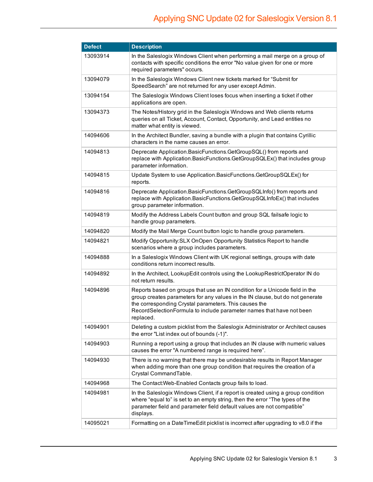| <b>Defect</b> | <b>Description</b>                                                                                                                                                                                                                                                                                         |
|---------------|------------------------------------------------------------------------------------------------------------------------------------------------------------------------------------------------------------------------------------------------------------------------------------------------------------|
| 13093914      | In the Saleslogix Windows Client when performing a mail merge on a group of<br>contacts with specific conditions the error "No value given for one or more<br>required parameters" occurs.                                                                                                                 |
| 13094079      | In the Saleslogix Windows Client new tickets marked for "Submit for<br>SpeedSearch" are not returned for any user except Admin.                                                                                                                                                                            |
| 13094154      | The Saleslogix Windows Client loses focus when inserting a ticket if other<br>applications are open.                                                                                                                                                                                                       |
| 13094373      | The Notes/History grid in the Saleslogix Windows and Web clients returns<br>queries on all Ticket, Account, Contact, Opportunity, and Lead entities no<br>matter what entity is viewed.                                                                                                                    |
| 14094606      | In the Architect Bundler, saving a bundle with a plugin that contains Cyrillic<br>characters in the name causes an error.                                                                                                                                                                                  |
| 14094813      | Deprecate Application.BasicFunctions.GetGroupSQL() from reports and<br>replace with Application.BasicFunctions.GetGroupSQLEx() that includes group<br>parameter information.                                                                                                                               |
| 14094815      | Update System to use Application.BasicFunctions.GetGroupSQLEx() for<br>reports.                                                                                                                                                                                                                            |
| 14094816      | Deprecate Application.BasicFunctions.GetGroupSQLInfo() from reports and<br>replace with Application.BasicFunctions.GetGroupSQLInfoEx() that includes<br>group parameter information.                                                                                                                       |
| 14094819      | Modify the Address Labels Count button and group SQL failsafe logic to<br>handle group parameters.                                                                                                                                                                                                         |
| 14094820      | Modify the Mail Merge Count button logic to handle group parameters.                                                                                                                                                                                                                                       |
| 14094821      | Modify Opportunity: SLX OnOpen Opportunity Statistics Report to handle<br>scenarios where a group includes parameters.                                                                                                                                                                                     |
| 14094888      | In a Saleslogix Windows Client with UK regional settings, groups with date<br>conditions return incorrect results.                                                                                                                                                                                         |
| 14094892      | In the Architect, LookupEdit controls using the LookupRestrictOperator IN do<br>not return results.                                                                                                                                                                                                        |
| 14094896      | Reports based on groups that use an IN condition for a Unicode field in the<br>group creates parameters for any values in the IN clause, but do not generate<br>the corresponding Crystal parameters. This causes the<br>RecordSelectionFormula to include parameter names that have not been<br>replaced. |
| 14094901      | Deleting a custom picklist from the Saleslogix Administrator or Architect causes<br>the error "List index out of bounds (-1)".                                                                                                                                                                             |
| 14094903      | Running a report using a group that includes an IN clause with numeric values<br>causes the error "A numbered range is required here".                                                                                                                                                                     |
| 14094930      | There is no warning that there may be undesirable results in Report Manager<br>when adding more than one group condition that requires the creation of a<br>Crystal CommandTable.                                                                                                                          |
| 14094968      | The Contact: Web-Enabled Contacts group fails to load.                                                                                                                                                                                                                                                     |
| 14094981      | In the Saleslogix Windows Client, if a report is created using a group condition<br>where "equal to" is set to an empty string, then the error "The types of the<br>parameter field and parameter field default values are not compatible"<br>displays.                                                    |
| 14095021      | Formatting on a DateTimeEdit picklist is incorrect after upgrading to v8.0 if the                                                                                                                                                                                                                          |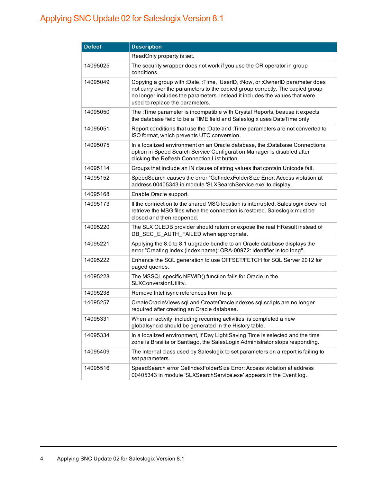| <b>Defect</b> | <b>Description</b>                                                                                                                                                                                                                                                              |
|---------------|---------------------------------------------------------------------------------------------------------------------------------------------------------------------------------------------------------------------------------------------------------------------------------|
|               | ReadOnly property is set.                                                                                                                                                                                                                                                       |
| 14095025      | The security wrapper does not work if you use the OR operator in group<br>conditions.                                                                                                                                                                                           |
| 14095049      | Copying a group with :Date, :Time, :UserID, :Now, or :OwnerID parameter does<br>not carry over the parameters to the copied group correctly. The copied group<br>no longer includes the parameters. Instead it includes the values that were<br>used to replace the parameters. |
| 14095050      | The : Time parameter is incompatible with Crystal Reports, beause it expects<br>the database field to be a TIME field and Saleslogix uses DateTime only.                                                                                                                        |
| 14095051      | Report conditions that use the :Date and :Time parameters are not converted to<br>ISO format, which prevents UTC conversion.                                                                                                                                                    |
| 14095075      | In a localized environment on an Oracle database, the :Database Connections<br>option in Speed Search Service Configuration Manager is disabled after<br>clicking the Refresh Connection List button.                                                                           |
| 14095114      | Groups that include an IN clause of string values that contain Unicode fail.                                                                                                                                                                                                    |
| 14095152      | SpeedSearch causes the error "GetIndexFolderSize Error: Access violation at<br>address 00405343 in module 'SLXSearchService.exe' to display.                                                                                                                                    |
| 14095168      | Enable Oracle support.                                                                                                                                                                                                                                                          |
| 14095173      | If the connection to the shared MSG location is interrupted, Saleslogix does not<br>retrieve the MSG files when the connection is restored. Saleslogix must be<br>closed and then reopened.                                                                                     |
| 14095220      | The SLX OLEDB provider should return or expose the real HResult instead of<br>DB_SEC_E_AUTH_FAILED when appropriate.                                                                                                                                                            |
| 14095221      | Applying the 8.0 to 8.1 upgrade bundle to an Oracle database displays the<br>error "Creating Index (index name): ORA-00972: identifier is too long".                                                                                                                            |
| 14095222      | Enhance the SQL generation to use OFFSET/FETCH for SQL Server 2012 for<br>paged queries.                                                                                                                                                                                        |
| 14095228      | The MSSQL specific NEWID() function fails for Oracle in the<br>SLXConversionUtility.                                                                                                                                                                                            |
| 14095238      | Remove Intellisync references from help.                                                                                                                                                                                                                                        |
| 14095257      | CreateOracleViews.sql and CreateOracleIndexes.sql scripts are no longer<br>required after creating an Oracle database.                                                                                                                                                          |
| 14095331      | When an activity, including recurring activities, is completed a new<br>globalsyncid should be generated in the History table.                                                                                                                                                  |
| 14095334      | In a localized environment, if Day Light Saving Time is selected and the time<br>zone is Brasilia or Santiago, the SalesLogix Administrator stops responding.                                                                                                                   |
| 14095409      | The internal class used by Saleslogix to set parameters on a report is failing to<br>set parameters.                                                                                                                                                                            |
| 14095516      | SpeedSearch error GetIndexFolderSize Error: Access violation at address<br>00405343 in module 'SLXSearchService.exe' appears in the Event log.                                                                                                                                  |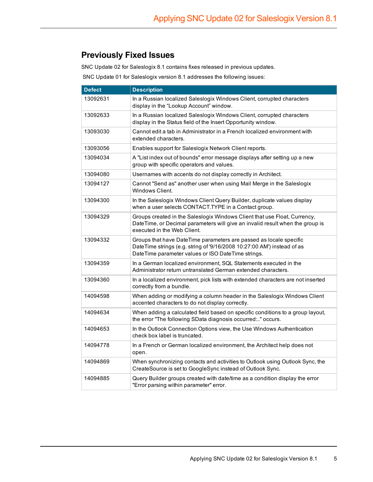## **Previously Fixed Issues**

SNC Update 02 for Saleslogix 8.1 contains fixes released in previous updates.

SNC Update 01 for Saleslogix version 8.1 addresses the following issues:

| <b>Defect</b> | <b>Description</b>                                                                                                                                                                                  |
|---------------|-----------------------------------------------------------------------------------------------------------------------------------------------------------------------------------------------------|
| 13092631      | In a Russian localized Saleslogix Windows Client, corrupted characters<br>display in the "Lookup Account" window.                                                                                   |
| 13092633      | In a Russian localized Saleslogix Windows Client, corrupted characters<br>display in the Status field of the Insert Opportunity window.                                                             |
| 13093030      | Cannot edit a tab in Administrator in a French localized environment with<br>extended characters.                                                                                                   |
| 13093056      | Enables support for Saleslogix Network Client reports.                                                                                                                                              |
| 13094034      | A "List index out of bounds" error message displays after setting up a new<br>group with specific operators and values.                                                                             |
| 13094080      | Usernames with accents do not display correctly in Architect.                                                                                                                                       |
| 13094127      | Cannot "Send as" another user when using Mail Merge in the Saleslogix<br>Windows Client.                                                                                                            |
| 13094300      | In the Saleslogix Windows Client Query Builder, duplicate values display<br>when a user selects CONTACT.TYPE in a Contact group.                                                                    |
| 13094329      | Groups created in the Saleslogix Windows Client that use Float, Currency,<br>DateTime, or Decimal parameters will give an invalid result when the group is<br>executed in the Web Client.           |
| 13094332      | Groups that have DateTime parameters are passed as locale specific<br>DateTime strings (e.g. string of '9/16/2008 10:27:00 AM') instead of as<br>DateTime parameter values or ISO DateTime strings. |
| 13094359      | In a German localized environment, SQL Statements executed in the<br>Administrator return untranslated German extended characters.                                                                  |
| 13094360      | In a localized environment, pick lists with extended characters are not inserted<br>correctly from a bundle.                                                                                        |
| 14094598      | When adding or modifying a column header in the Saleslogix Windows Client<br>accented characters to do not display correctly.                                                                       |
| 14094634      | When adding a calculated field based on specific conditions to a group layout,<br>the error "The following SData diagnosis occurred:" occurs.                                                       |
| 14094653      | In the Outlook Connection Options view, the Use Windows Authentication<br>check box label is truncated.                                                                                             |
| 14094778      | In a French or German localized environment, the Architect help does not<br>open.                                                                                                                   |
| 14094869      | When synchronizing contacts and activities to Outlook using Outlook Sync, the<br>CreateSource is set to GoogleSync instead of Outlook Sync.                                                         |
| 14094885      | Query Builder groups created with date/time as a condition display the error<br>"Error parsing within parameter" error.                                                                             |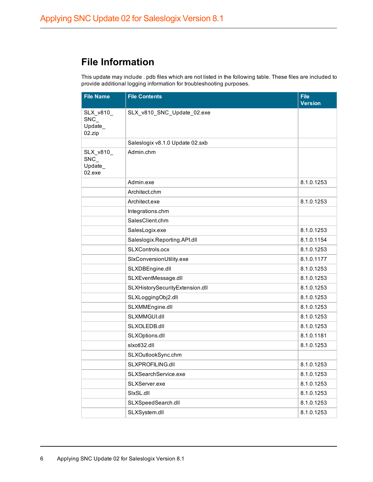## **File Information**

This update may include . pdb files which are not listed in the following table. These files are included to provide additional logging information for troubleshooting purposes.

| <b>File Name</b>                      | <b>File Contents</b>            | <b>File</b><br><b>Version</b> |
|---------------------------------------|---------------------------------|-------------------------------|
| SLX_v810_<br>SNC<br>Update_<br>02.zip | SLX_v810_SNC_Update_02.exe      |                               |
|                                       | Saleslogix v8.1.0 Update 02.sxb |                               |
| SLX_v810_<br>SNC<br>Update_<br>02.exe | Admin.chm                       |                               |
|                                       | Admin.exe                       | 8.1.0.1253                    |
|                                       | Architect.chm                   |                               |
|                                       | Architect.exe                   | 8.1.0.1253                    |
|                                       | Integrations.chm                |                               |
|                                       | SalesClient.chm                 |                               |
|                                       | SalesLogix.exe                  | 8.1.0.1253                    |
|                                       | Saleslogix.Reporting.API.dll    | 8.1.0.1154                    |
|                                       | SLXControls.ocx                 | 8.1.0.1253                    |
|                                       | SIxConversionUtility.exe        | 8.1.0.1177                    |
|                                       | SLXDBEngine.dll                 | 8.1.0.1253                    |
|                                       | SLXEventMessage.dll             | 8.1.0.1253                    |
|                                       | SLXHistorySecurityExtension.dll | 8.1.0.1253                    |
|                                       | SLXLoggingObj2.dll              | 8.1.0.1253                    |
|                                       | SLXMMEngine.dll                 | 8.1.0.1253                    |
|                                       | SLXMMGUI.dll                    | 8.1.0.1253                    |
|                                       | SLXOLEDB.dll                    | 8.1.0.1253                    |
|                                       | SLXOptions.dll                  | 8.1.0.1181                    |
|                                       | slxotl32.dll                    | 8.1.0.1253                    |
|                                       | SLXOutlookSync.chm              |                               |
|                                       | SLXPROFILING.dll                | 8.1.0.1253                    |
|                                       | SLXSearchService.exe            | 8.1.0.1253                    |
|                                       | SLXServer.exe                   | 8.1.0.1253                    |
|                                       | SIxSL.dll                       | 8.1.0.1253                    |
|                                       | SLXSpeedSearch.dll              | 8.1.0.1253                    |
|                                       | SLXSystem.dll                   | 8.1.0.1253                    |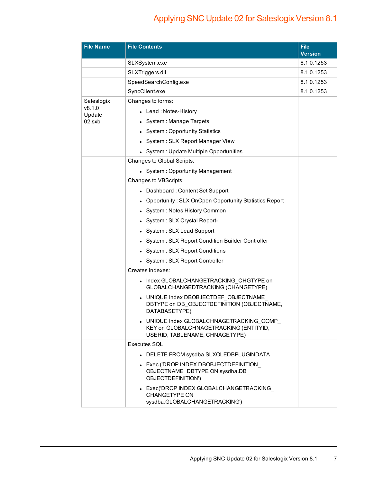## Applying SNC Update 02 for Saleslogix Version 8.1

| <b>File Name</b> | <b>File Contents</b>                                                                                                  | <b>File</b><br><b>Version</b> |
|------------------|-----------------------------------------------------------------------------------------------------------------------|-------------------------------|
|                  | SLXSystem.exe                                                                                                         | 8.1.0.1253                    |
|                  | SLXTriggers.dll                                                                                                       | 8.1.0.1253                    |
|                  | SpeedSearchConfig.exe                                                                                                 | 8.1.0.1253                    |
|                  | SyncClient.exe                                                                                                        | 8.1.0.1253                    |
| Saleslogix       | Changes to forms:                                                                                                     |                               |
| v8.1.0<br>Update | • Lead: Notes-History                                                                                                 |                               |
| $02$ .sxb        | • System : Manage Targets                                                                                             |                               |
|                  | • System: Opportunity Statistics                                                                                      |                               |
|                  | • System: SLX Report Manager View                                                                                     |                               |
|                  | • System : Update Multiple Opportunities                                                                              |                               |
|                  | Changes to Global Scripts:                                                                                            |                               |
|                  | • System: Opportunity Management                                                                                      |                               |
|                  | Changes to VBScripts:                                                                                                 |                               |
|                  | • Dashboard: Content Set Support                                                                                      |                               |
|                  | • Opportunity: SLX OnOpen Opportunity Statistics Report                                                               |                               |
|                  | • System: Notes History Common                                                                                        |                               |
|                  | System: SLX Crystal Report-                                                                                           |                               |
|                  | • System: SLX Lead Support                                                                                            |                               |
|                  | System: SLX Report Condition Builder Controller                                                                       |                               |
|                  | System: SLX Report Conditions                                                                                         |                               |
|                  | • System: SLX Report Controller                                                                                       |                               |
|                  | Creates indexes:                                                                                                      |                               |
|                  | • Index GLOBALCHANGETRACKING CHGTYPE on<br>GLOBALCHANGEDTRACKING (CHANGETYPE)                                         |                               |
|                  | UNIQUE Index DBOBJECTDEF OBJECTNAME<br>DBTYPE on DB_OBJECTDEFINITION (OBJECTNAME,<br>DATABASETYPE)                    |                               |
|                  | • UNIQUE Index GLOBALCHNAGETRACKING_COMP_<br>KEY on GLOBALCHNAGETRACKING (ENTITYID,<br>USERID, TABLENAME, CHNAGETYPE) |                               |
|                  | <b>Executes SOL</b>                                                                                                   |                               |
|                  | • DELETE FROM sysdba.SLXOLEDBPLUGINDATA                                                                               |                               |
|                  | • Exec ('DROP INDEX DBOBJECTDEFINITION<br>OBJECTNAME DBTYPE ON sysdba.DB<br>OBJECTDEFINITION')                        |                               |
|                  | • Exec('DROP INDEX GLOBALCHANGETRACKING<br><b>CHANGETYPE ON</b><br>sysdba.GLOBALCHANGETRACKING')                      |                               |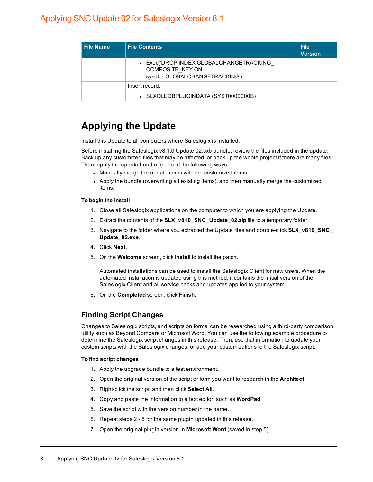| <b>File Name</b> | <b>File Contents</b>                                                                         | <b>File</b><br><b>Version</b> |
|------------------|----------------------------------------------------------------------------------------------|-------------------------------|
|                  | • Exec('DROP INDEX GLOBALCHANGETRACKING<br>COMPOSITE KEY ON<br>sysdba.GLOBALCHANGETRACKING') |                               |
|                  | Insert record:<br>• SLXOLEDBPLUGINDATA (SYST0000000B)                                        |                               |

## **Applying the Update**

Install this Update to all computers where Saleslogix is installed.

Before installing the Saleslogix v8.1.0 Update 02.sxb bundle, review the files included in the update. Back up any customized files that may be affected, or back up the whole project if there are many files. Then, apply the update bundle in one of the following ways:

- Manually merge the update items with the customized items.
- Apply the bundle (overwriting all existing items), and then manually merge the customized items.

#### **To begin the install**

- 1. Close all Saleslogix applications on the computer to which you are applying the Update.
- 2. Extract the contents of the **SLX\_v810\_SNC\_Update\_02.zip** file to a temporary folder.
- 3. Navigate to the folder where you extracted the Update files and double-click **SLX\_v810\_SNC\_ Update\_02.exe**.
- 4. Click **Next**.
- 5. On the **Welcome** screen, click **Install** to install the patch.

Automated installations can be used to install the Saleslogix Client for new users. When the automated installation is updated using this method, it contains the initial version of the Saleslogix Client and all service packs and updates applied to your system.

6. On the **Completed** screen, click **Finish**.

### **Finding Script Changes**

Changes to Saleslogix scripts, and scripts on forms, can be researched using a third-party comparison utility such as Beyond Compare or Microsoft Word. You can use the following example procedure to determine the Saleslogix script changes in this release. Then, use that information to update your custom scripts with the Saleslogix changes, or add your customizations to the Saleslogix script.

#### **To find script changes**

- 1. Apply the upgrade bundle to a test environment.
- 2. Open the original version of the script or form you want to research in the **Architect**.
- 3. Right-click the script, and then click **Select All**.
- 4. Copy and paste the information to a text editor, such as **WordPad**.
- 5. Save the script with the version number in the name.
- 6. Repeat steps 2 5 for the same plugin updated in this release.
- 7. Open the original plugin version in **Microsoft Word** (saved in step 5).